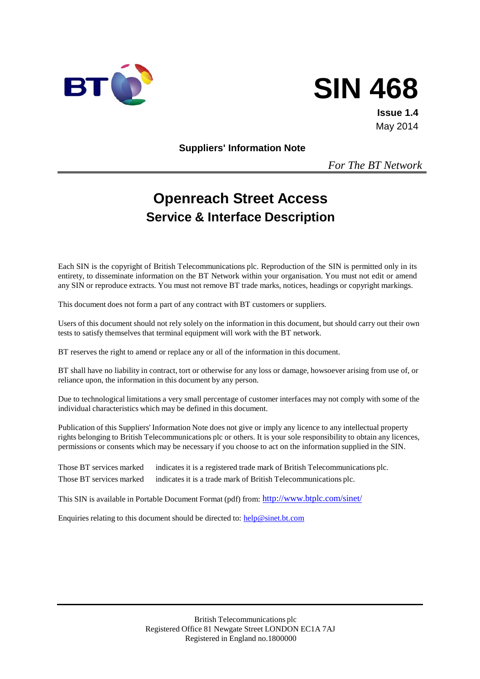



**Issue 1.4** May 2014

**Suppliers' Information Note**

*For The BT Network*

# **Openreach Street Access Service & Interface Description**

Each SIN is the copyright of British Telecommunications plc. Reproduction of the SIN is permitted only in its entirety, to disseminate information on the BT Network within your organisation. You must not edit or amend any SIN or reproduce extracts. You must not remove BT trade marks, notices, headings or copyright markings.

This document does not form a part of any contract with BT customers or suppliers.

Users of this document should not rely solely on the information in this document, but should carry out their own tests to satisfy themselves that terminal equipment will work with the BT network.

BT reserves the right to amend or replace any or all of the information in this document.

BT shall have no liability in contract, tort or otherwise for any loss or damage, howsoever arising from use of, or reliance upon, the information in this document by any person.

Due to technological limitations a very small percentage of customer interfaces may not comply with some of the individual characteristics which may be defined in this document.

Publication of this Suppliers' Information Note does not give or imply any licence to any intellectual property rights belonging to British Telecommunications plc or others. It is your sole responsibility to obtain any licences, permissions or consents which may be necessary if you choose to act on the information supplied in the SIN.

Those BT services marked indicates it is a registered trade mark of British Telecommunications plc. Those BT services marked indicates it is a trade mark of British Telecommunications plc.

This SIN is available in Portable Document Format (pdf) from: <http://www.btplc.com/sinet/>

Enquiries relating to this document should be directed to: [help@sinet.bt.com](mailto:help@sinet.bt.com)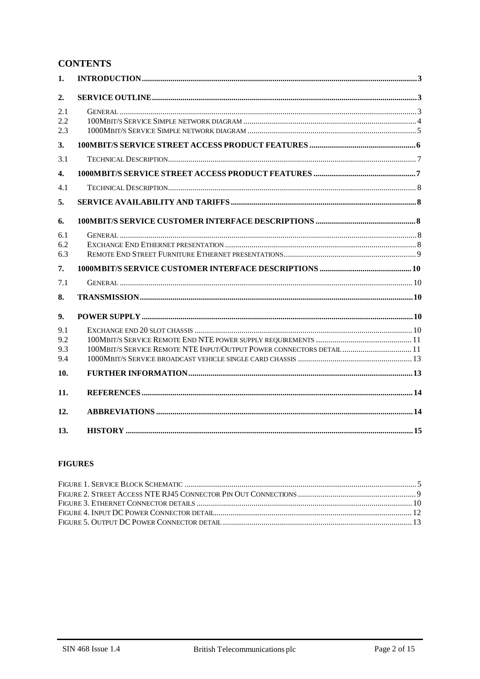## **CONTENTS**

| 1.                       |                                                                       |  |
|--------------------------|-----------------------------------------------------------------------|--|
| 2.                       |                                                                       |  |
| 2.1<br>2.2<br>2.3        |                                                                       |  |
| 3.                       |                                                                       |  |
| 3.1                      |                                                                       |  |
| 4.                       |                                                                       |  |
| 4.1                      |                                                                       |  |
| 5.                       |                                                                       |  |
| 6.                       |                                                                       |  |
| 6.1<br>6.2<br>6.3        |                                                                       |  |
| 7.                       |                                                                       |  |
| 7.1                      |                                                                       |  |
| 8.                       |                                                                       |  |
| 9.                       |                                                                       |  |
| 9.1<br>9.2<br>9.3<br>9.4 | 100MBIT/S SERVICE REMOTE NTE INPUT/OUTPUT POWER CONNECTORS DETAIL  11 |  |
| 10.                      |                                                                       |  |
| 11.                      |                                                                       |  |
| 12.                      |                                                                       |  |
| 13.                      |                                                                       |  |

#### **FIGURES**

| FIGURE 4. INPUT DC POWER CONNECTOR DETAIL (ALLOWITH THE CONDITIONAL CONDITIONS) 12 |  |
|------------------------------------------------------------------------------------|--|
|                                                                                    |  |
|                                                                                    |  |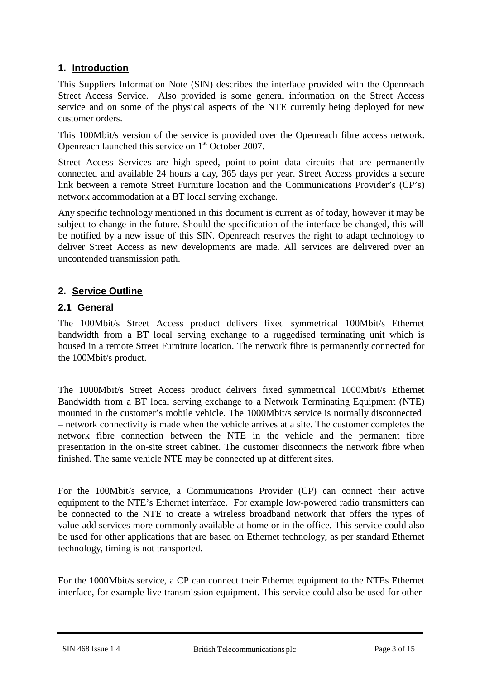## **1. Introduction**

This Suppliers Information Note (SIN) describes the interface provided with the Openreach Street Access Service. Also provided is some general information on the Street Access service and on some of the physical aspects of the NTE currently being deployed for new customer orders.

This 100Mbit/s version of the service is provided over the Openreach fibre access network. Openreach launched this service on 1<sup>st</sup> October 2007.

Street Access Services are high speed, point-to-point data circuits that are permanently connected and available 24 hours a day, 365 days per year. Street Access provides a secure link between a remote Street Furniture location and the Communications Provider's (CP's) network accommodation at a BT local serving exchange.

Any specific technology mentioned in this document is current as of today, however it may be subject to change in the future. Should the specification of the interface be changed, this will be notified by a new issue of this SIN. Openreach reserves the right to adapt technology to deliver Street Access as new developments are made. All services are delivered over an uncontended transmission path.

## **2. Service Outline**

## **2.1 General**

The 100Mbit/s Street Access product delivers fixed symmetrical 100Mbit/s Ethernet bandwidth from a BT local serving exchange to a ruggedised terminating unit which is housed in a remote Street Furniture location. The network fibre is permanently connected for the 100Mbit/s product.

The 1000Mbit/s Street Access product delivers fixed symmetrical 1000Mbit/s Ethernet Bandwidth from a BT local serving exchange to a Network Terminating Equipment (NTE) mounted in the customer's mobile vehicle. The 1000Mbit/s service is normally disconnected – network connectivity is made when the vehicle arrives at a site. The customer completes the network fibre connection between the NTE in the vehicle and the permanent fibre presentation in the on-site street cabinet. The customer disconnects the network fibre when finished. The same vehicle NTE may be connected up at different sites.

For the 100Mbit/s service, a Communications Provider (CP) can connect their active equipment to the NTE's Ethernet interface. For example low-powered radio transmitters can be connected to the NTE to create a wireless broadband network that offers the types of value-add services more commonly available at home or in the office. This service could also be used for other applications that are based on Ethernet technology, as per standard Ethernet technology, timing is not transported.

For the 1000Mbit/s service, a CP can connect their Ethernet equipment to the NTEs Ethernet interface, for example live transmission equipment. This service could also be used for other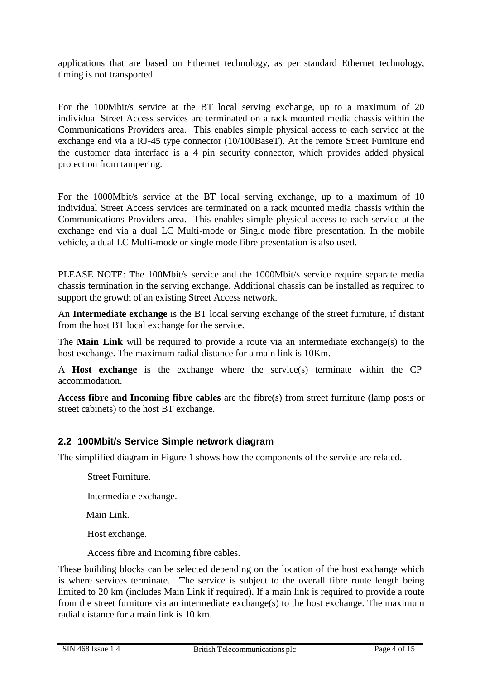applications that are based on Ethernet technology, as per standard Ethernet technology, timing is not transported.

For the 100Mbit/s service at the BT local serving exchange, up to a maximum of 20 individual Street Access services are terminated on a rack mounted media chassis within the Communications Providers area. This enables simple physical access to each service at the exchange end via a RJ-45 type connector (10/100BaseT). At the remote Street Furniture end the customer data interface is a 4 pin security connector, which provides added physical protection from tampering.

For the 1000Mbit/s service at the BT local serving exchange, up to a maximum of 10 individual Street Access services are terminated on a rack mounted media chassis within the Communications Providers area. This enables simple physical access to each service at the exchange end via a dual LC Multi-mode or Single mode fibre presentation. In the mobile vehicle, a dual LC Multi-mode or single mode fibre presentation is also used.

PLEASE NOTE: The 100Mbit/s service and the 1000Mbit/s service require separate media chassis termination in the serving exchange. Additional chassis can be installed as required to support the growth of an existing Street Access network.

An **Intermediate exchange** is the BT local serving exchange of the street furniture, if distant from the host BT local exchange for the service.

The **Main Link** will be required to provide a route via an intermediate exchange(s) to the host exchange. The maximum radial distance for a main link is 10Km.

A **Host exchange** is the exchange where the service(s) terminate within the CP accommodation.

**Access fibre and Incoming fibre cables** are the fibre(s) from street furniture (lamp posts or street cabinets) to the host BT exchange.

#### **2.2 100Mbit/s Service Simple network diagram**

The simplified diagram in Figure 1 shows how the components of the service are related.

Street Furniture.

Intermediate exchange.

Main Link.

Host exchange.

Access fibre and Incoming fibre cables.

These building blocks can be selected depending on the location of the host exchange which is where services terminate. The service is subject to the overall fibre route length being limited to 20 km (includes Main Link if required). If a main link is required to provide a route from the street furniture via an intermediate exchange(s) to the host exchange. The maximum radial distance for a main link is 10 km.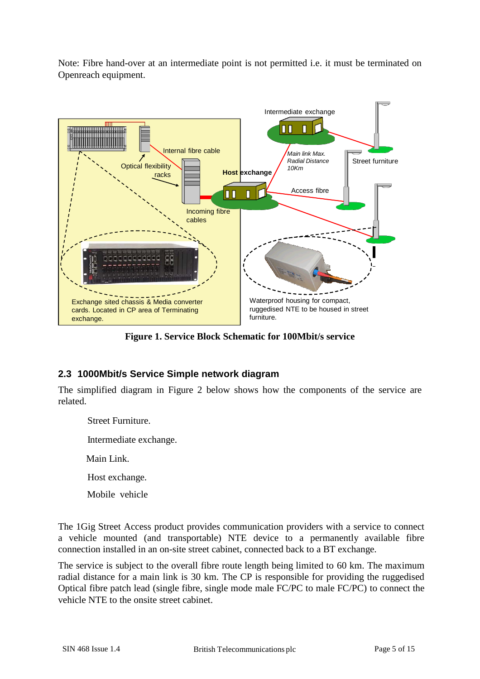Note: Fibre hand-over at an intermediate point is not permitted i.e. it must be terminated on Openreach equipment.



**Figure 1. Service Block Schematic for 100Mbit/s service**

## **2.3 1000Mbit/s Service Simple network diagram**

The simplified diagram in Figure 2 below shows how the components of the service are related.

 Street Furniture. Intermediate exchange. Main Link. Host exchange.

Mobile vehicle

The 1Gig Street Access product provides communication providers with a service to connect a vehicle mounted (and transportable) NTE device to a permanently available fibre connection installed in an on-site street cabinet, connected back to a BT exchange.

The service is subject to the overall fibre route length being limited to 60 km. The maximum radial distance for a main link is 30 km. The CP is responsible for providing the ruggedised Optical fibre patch lead (single fibre, single mode male FC/PC to male FC/PC) to connect the vehicle NTE to the onsite street cabinet.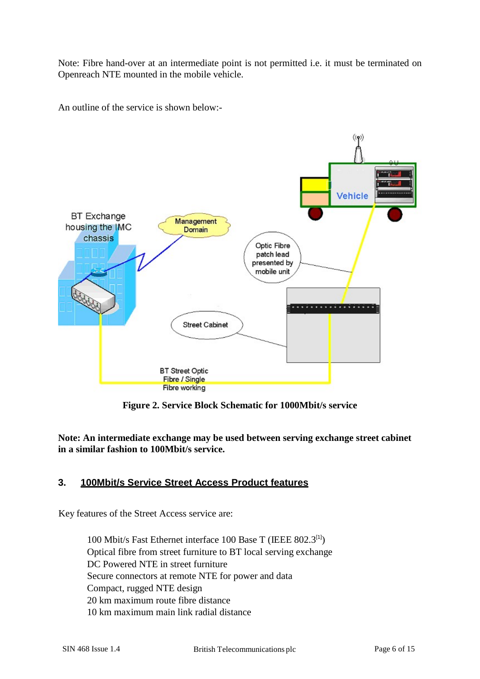Note: Fibre hand-over at an intermediate point is not permitted i.e. it must be terminated on Openreach NTE mounted in the mobile vehicle.

An outline of the service is shown below:-



**Figure 2. Service Block Schematic for 1000Mbit/s service**

**Note: An intermediate exchange may be used between serving exchange street cabinet in a similar fashion to 100Mbit/s service.**

## **3. 100Mbit/s Service Street Access Product features**

Key features of the Street Access service are:

100 Mbit/s Fast Ethernet interface 100 Base T (IEEE 802.3[1]) Optical fibre from street furniture to BT local serving exchange DC Powered NTE in street furniture Secure connectors at remote NTE for power and data Compact, rugged NTE design 20 km maximum route fibre distance 10 km maximum main link radial distance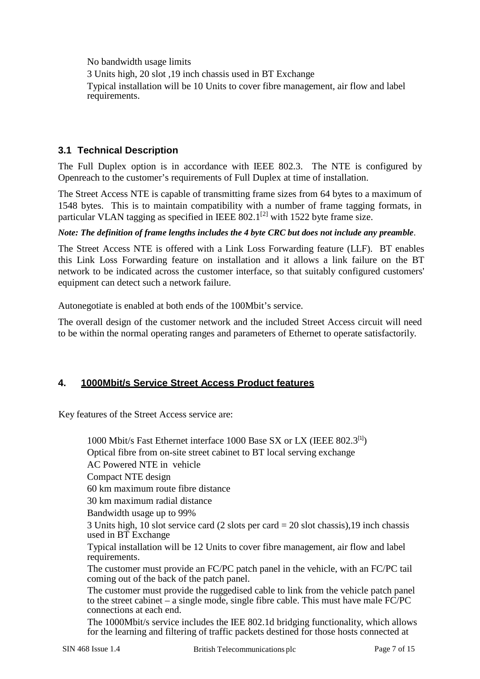No bandwidth usage limits

3 Units high, 20 slot ,19 inch chassis used in BT Exchange Typical installation will be 10 Units to cover fibre management, air flow and label requirements.

## **3.1 Technical Description**

The Full Duplex option is in accordance with IEEE 802.3. The NTE is configured by Openreach to the customer's requirements of Full Duplex at time of installation.

The Street Access NTE is capable of transmitting frame sizes from 64 bytes to a maximum of 1548 bytes. This is to maintain compatibility with a number of frame tagging formats, in particular VLAN tagging as specified in IEEE  $802.1^{[2]}$  with 1522 byte frame size.

*Note: The definition of frame lengths includes the 4 byte CRC but does not include any preamble.*

The Street Access NTE is offered with a Link Loss Forwarding feature (LLF). BT enables this Link Loss Forwarding feature on installation and it allows a link failure on the BT network to be indicated across the customer interface, so that suitably configured customers' equipment can detect such a network failure.

Autonegotiate is enabled at both ends of the 100Mbit's service.

The overall design of the customer network and the included Street Access circuit will need to be within the normal operating ranges and parameters of Ethernet to operate satisfactorily.

## **4. 1000Mbit/s Service Street Access Product features**

Key features of the Street Access service are:

1000 Mbit/s Fast Ethernet interface 1000 Base SX or LX (IEEE 802.3[1]) Optical fibre from on-site street cabinet to BT local serving exchange AC Powered NTE in vehicle Compact NTE design 60 km maximum route fibre distance 30 km maximum radial distance Bandwidth usage up to 99% 3 Units high, 10 slot service card (2 slots per card = 20 slot chassis),19 inch chassis used in BT Exchange Typical installation will be 12 Units to cover fibre management, air flow and label requirements. The customer must provide an FC/PC patch panel in the vehicle, with an FC/PC tail coming out of the back of the patch panel. The customer must provide the ruggedised cable to link from the vehicle patch panel to the street cabinet – a single mode, single fibre cable. This must have male FC/PC

 The 1000Mbit/s service includes the IEE 802.1d bridging functionality, which allows for the learning and filtering of traffic packets destined for those hosts connected at

connections at each end.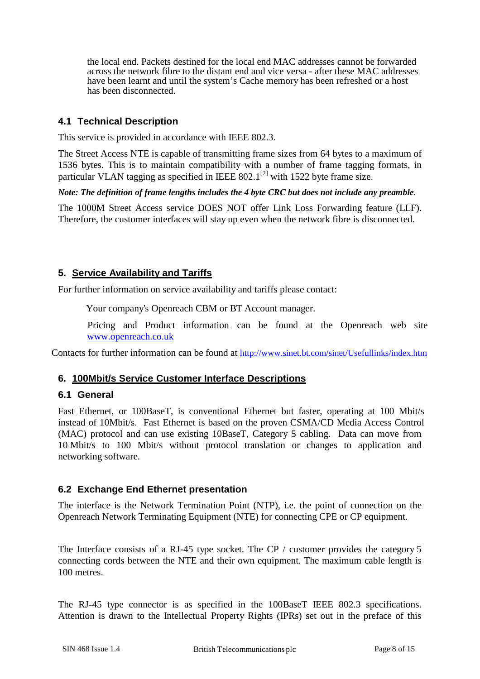the local end. Packets destined for the local end MAC addresses cannot be forwarded across the network fibre to the distant end and vice versa - after these MAC addresses have been learnt and until the system's Cache memory has been refreshed or a host has been disconnected.

## **4.1 Technical Description**

This service is provided in accordance with IEEE 802.3.

The Street Access NTE is capable of transmitting frame sizes from 64 bytes to a maximum of 1536 bytes. This is to maintain compatibility with a number of frame tagging formats, in particular VLAN tagging as specified in IEEE  $802.1^{[2]}$  with 1522 byte frame size.

*Note: The definition of frame lengths includes the 4 byte CRC but does not include any preamble.*

The 1000M Street Access service DOES NOT offer Link Loss Forwarding feature (LLF). Therefore, the customer interfaces will stay up even when the network fibre is disconnected.

## **5. Service Availability and Tariffs**

For further information on service availability and tariffs please contact:

Your company's Openreach CBM or BT Account manager.

 Pricing and Product information can be found at the Openreach web site [www.openreach.co.uk](http://www.openreach.co.uk/)

Contacts for further information can be found at<http://www.sinet.bt.com/sinet/Usefullinks/index.htm>

#### **6. 100Mbit/s Service Customer Interface Descriptions**

#### **6.1 General**

Fast Ethernet, or 100BaseT, is conventional Ethernet but faster, operating at 100 Mbit/s instead of 10Mbit/s. Fast Ethernet is based on the proven CSMA/CD Media Access Control (MAC) protocol and can use existing 10BaseT, Category 5 cabling. Data can move from 10 Mbit/s to 100 Mbit/s without protocol translation or changes to application and networking software.

#### **6.2 Exchange End Ethernet presentation**

The interface is the Network Termination Point (NTP), i.e. the point of connection on the Openreach Network Terminating Equipment (NTE) for connecting CPE or CP equipment.

The Interface consists of a RJ-45 type socket. The CP / customer provides the category 5 connecting cords between the NTE and their own equipment. The maximum cable length is 100 metres.

The RJ-45 type connector is as specified in the 100BaseT IEEE 802.3 specifications. Attention is drawn to the Intellectual Property Rights (IPRs) set out in the preface of this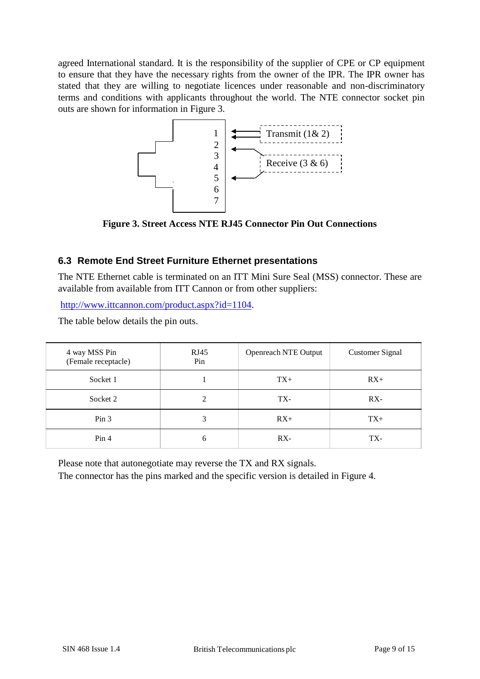agreed International standard. It is the responsibility of the supplier of CPE or CP equipment to ensure that they have the necessary rights from the owner of the IPR. The IPR owner has stated that they are willing to negotiate licences under reasonable and non-discriminatory terms and conditions with applicants throughout the world. The NTE connector socket pin outs are shown for information in Figure 3.



**Figure 3. Street Access NTE RJ45 Connector Pin Out Connections**

## **6.3 Remote End Street Furniture Ethernet presentations**

The NTE Ethernet cable is terminated on an ITT Mini Sure Seal (MSS) connector. These are available from available from ITT Cannon or from other suppliers:

[http://www.ittcannon.com/product.aspx?id=1104.](http://www.ittcannon.com/product.aspx?id=1104)

The table below details the pin outs.

| 4 way MSS Pin<br>(Female receptacle) | RJ45<br>Pin | Openreach NTE Output | <b>Customer Signal</b> |
|--------------------------------------|-------------|----------------------|------------------------|
| Socket 1                             |             | $TX+$                | $RX+$                  |
| Socket 2                             | ↑           | TX-                  | $RX -$                 |
| Pin <sub>3</sub>                     | 3           | $RX+$                | $TX+$                  |
| Pin 4                                | h           | $RX -$               | TX-                    |

Please note that autonegotiate may reverse the TX and RX signals.

The connector has the pins marked and the specific version is detailed in Figure 4.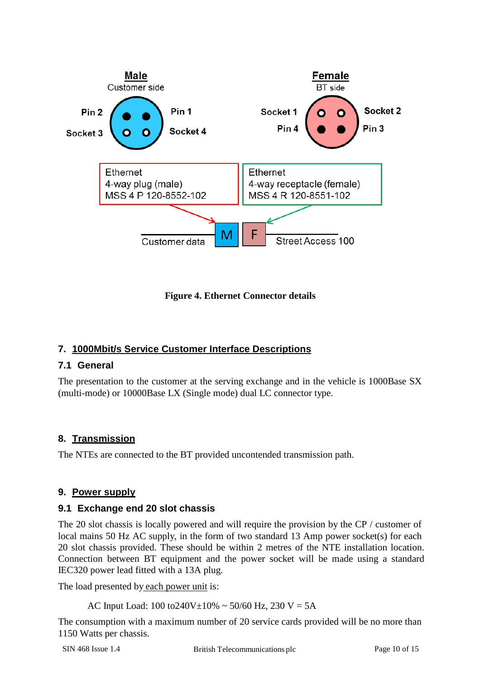

**Figure 4. Ethernet Connector details**

## **7. 1000Mbit/s Service Customer Interface Descriptions**

#### **7.1 General**

The presentation to the customer at the serving exchange and in the vehicle is 1000Base SX (multi-mode) or 10000Base LX (Single mode) dual LC connector type.

## **8. Transmission**

The NTEs are connected to the BT provided uncontended transmission path.

## **9. Power supply**

#### **9.1 Exchange end 20 slot chassis**

The 20 slot chassis is locally powered and will require the provision by the CP / customer of local mains 50 Hz AC supply, in the form of two standard 13 Amp power socket(s) for each 20 slot chassis provided. These should be within 2 metres of the NTE installation location. Connection between BT equipment and the power socket will be made using a standard IEC320 power lead fitted with a 13A plug.

The load presented by each power unit is:

AC Input Load:  $100 \text{ to} 240V \pm 10\% \sim 50/60 \text{ Hz}$ , 230 V = 5A

The consumption with a maximum number of 20 service cards provided will be no more than 1150 Watts per chassis.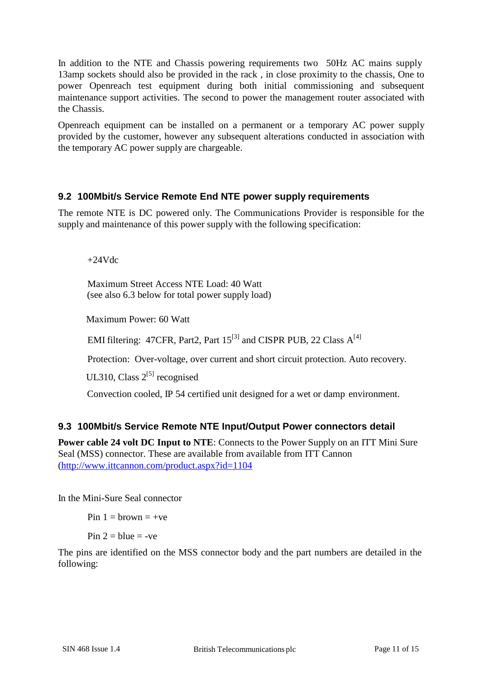In addition to the NTE and Chassis powering requirements two 50Hz AC mains supply 13amp sockets should also be provided in the rack , in close proximity to the chassis, One to power Openreach test equipment during both initial commissioning and subsequent maintenance support activities. The second to power the management router associated with the Chassis.

Openreach equipment can be installed on a permanent or a temporary AC power supply provided by the customer, however any subsequent alterations conducted in association with the temporary AC power supply are chargeable.

## **9.2 100Mbit/s Service Remote End NTE power supply requirements**

The remote NTE is DC powered only. The Communications Provider is responsible for the supply and maintenance of this power supply with the following specification:

 $+24Vdc$ 

 Maximum Street Access NTE Load: 40 Watt (see also 6.3 below for total power supply load)

Maximum Power: 60 Watt

EMI filtering: 47CFR, Part2, Part  $15^{[3]}$  and CISPR PUB, 22 Class  $A^{[4]}$ 

Protection: Over-voltage, over current and short circuit protection. Auto recovery.

UL310, Class  $2^{[5]}$  recognised

Convection cooled, IP 54 certified unit designed for a wet or damp environment.

#### **9.3 100Mbit/s Service Remote NTE Input/Output Power connectors detail**

**Power cable 24 volt DC Input to NTE**: Connects to the Power Supply on an ITT Mini Sure Seal (MSS) connector. These are available from available from ITT Cannon [\(http://www.ittcannon.com/product.aspx?id=1104](http://www.ittcannon.com/product.aspx?id=1104)

In the Mini-Sure Seal connector

Pin  $1 =$  brown  $= +ve$ 

Pin  $2 =$  blue  $=$  -ve

The pins are identified on the MSS connector body and the part numbers are detailed in the following: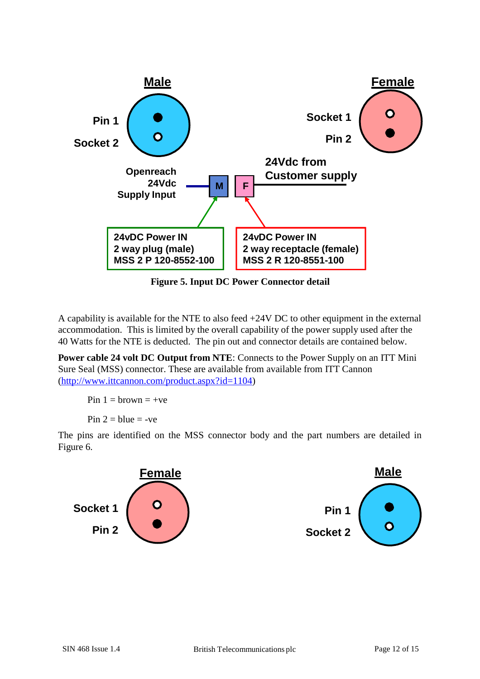

**Figure 5. Input DC Power Connector detail**

A capability is available for the NTE to also feed +24V DC to other equipment in the external accommodation. This is limited by the overall capability of the power supply used after the 40 Watts for the NTE is deducted. The pin out and connector details are contained below.

**Power cable 24 volt DC Output from NTE**: Connects to the Power Supply on an ITT Mini Sure Seal (MSS) connector. These are available from available from ITT Cannon [\(http://www.ittcannon.com/product.aspx?id=1104\)](http://www.ittcannon.com/product.aspx?id=1104)

Pin  $1 =$  brown  $= +ve$ 

Pin  $2 = blue = -ve$ 

The pins are identified on the MSS connector body and the part numbers are detailed in Figure 6.

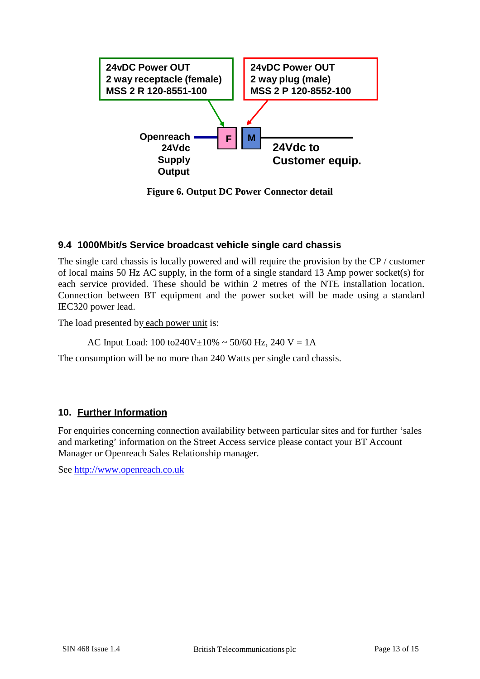

**Figure 6. Output DC Power Connector detail**

## **9.4 1000Mbit/s Service broadcast vehicle single card chassis**

The single card chassis is locally powered and will require the provision by the CP / customer of local mains 50 Hz AC supply, in the form of a single standard 13 Amp power socket(s) for each service provided. These should be within 2 metres of the NTE installation location. Connection between BT equipment and the power socket will be made using a standard IEC320 power lead.

The load presented by each power unit is:

AC Input Load:  $100 \text{ to} 240V \pm 10\% \sim 50/60 \text{ Hz}$ ,  $240 \text{ V} = 1 \text{A}$ 

The consumption will be no more than 240 Watts per single card chassis.

#### **10. Further Information**

For enquiries concerning connection availability between particular sites and for further 'sales and marketing' information on the Street Access service please contact your BT Account Manager or Openreach Sales Relationship manager.

See [http://www.openreach.co.uk](http://www.openreach.co.uk/)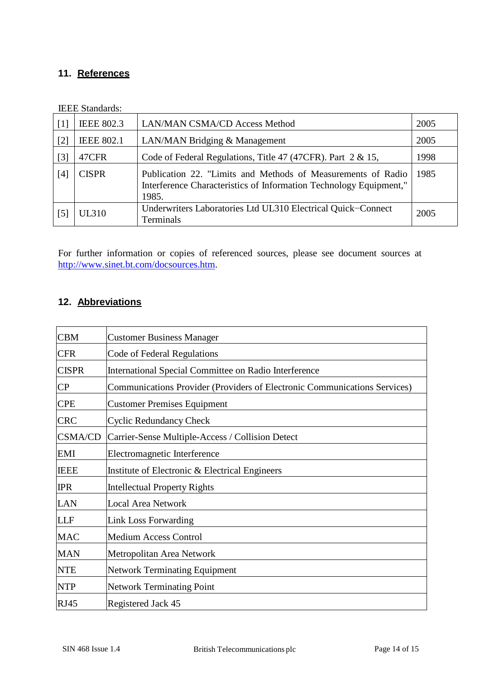# **11. References**

| $\lceil 1 \rceil$ | <b>IEEE 802.3</b> | LAN/MAN CSMA/CD Access Method                                                                                                               | 2005 |
|-------------------|-------------------|---------------------------------------------------------------------------------------------------------------------------------------------|------|
| [2]               | <b>IEEE 802.1</b> | LAN/MAN Bridging & Management                                                                                                               | 2005 |
| $\lceil 3 \rceil$ | 47CFR             | Code of Federal Regulations, Title 47 (47CFR). Part $2 \& 15$ ,                                                                             | 1998 |
| [4]               | <b>CISPR</b>      | Publication 22. "Limits and Methods of Measurements of Radio<br>Interference Characteristics of Information Technology Equipment,"<br>1985. | 1985 |
| $\lceil 5 \rceil$ | <b>UL310</b>      | Underwriters Laboratories Ltd UL310 Electrical Quick-Connect<br><b>Terminals</b>                                                            | 2005 |

IEEE Standards:

For further information or copies of referenced sources, please see document sources at [http://www.sinet.bt.com/docsources.htm.](http://www.sinet.bt.com/docsources.htm)

## **12. Abbreviations**

| <b>CBM</b>     | <b>Customer Business Manager</b>                                          |
|----------------|---------------------------------------------------------------------------|
| <b>CFR</b>     | Code of Federal Regulations                                               |
| <b>CISPR</b>   | <b>International Special Committee on Radio Interference</b>              |
| CP             | Communications Provider (Providers of Electronic Communications Services) |
| <b>CPE</b>     | <b>Customer Premises Equipment</b>                                        |
| <b>CRC</b>     | <b>Cyclic Redundancy Check</b>                                            |
| <b>CSMA/CD</b> | Carrier-Sense Multiple-Access / Collision Detect                          |
| <b>EMI</b>     | Electromagnetic Interference                                              |
| <b>IEEE</b>    | Institute of Electronic & Electrical Engineers                            |
| <b>IPR</b>     | <b>Intellectual Property Rights</b>                                       |
| LAN            | <b>Local Area Network</b>                                                 |
| <b>LLF</b>     | <b>Link Loss Forwarding</b>                                               |
| <b>MAC</b>     | <b>Medium Access Control</b>                                              |
| <b>MAN</b>     | Metropolitan Area Network                                                 |
| <b>NTE</b>     | <b>Network Terminating Equipment</b>                                      |
| <b>NTP</b>     | <b>Network Terminating Point</b>                                          |
| <b>RJ45</b>    | Registered Jack 45                                                        |